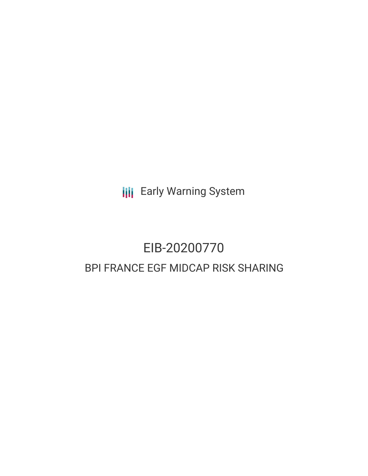**III** Early Warning System

# EIB-20200770 BPI FRANCE EGF MIDCAP RISK SHARING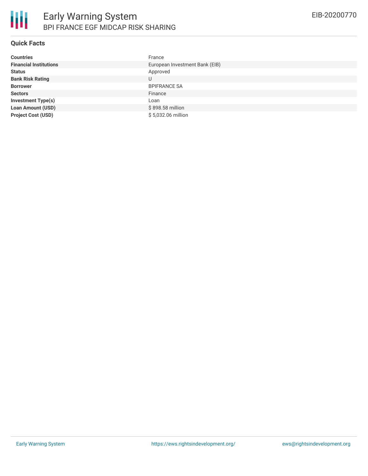

## **Quick Facts**

| <b>Countries</b>              | France                         |
|-------------------------------|--------------------------------|
| <b>Financial Institutions</b> | European Investment Bank (EIB) |
| <b>Status</b>                 | Approved                       |
| <b>Bank Risk Rating</b>       | U                              |
| <b>Borrower</b>               | <b>BPIFRANCE SA</b>            |
| <b>Sectors</b>                | Finance                        |
| <b>Investment Type(s)</b>     | Loan                           |
| <b>Loan Amount (USD)</b>      | \$898.58 million               |
| <b>Project Cost (USD)</b>     | \$5,032.06 million             |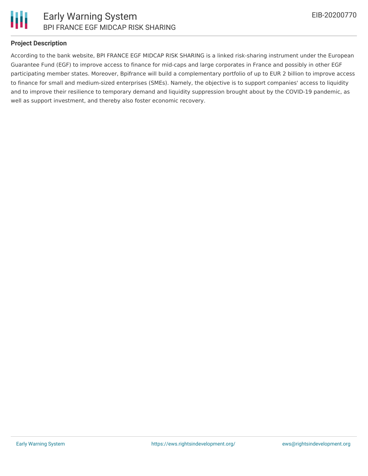

## **Project Description**

According to the bank website, BPI FRANCE EGF MIDCAP RISK SHARING is a linked risk-sharing instrument under the European Guarantee Fund (EGF) to improve access to finance for mid-caps and large corporates in France and possibly in other EGF participating member states. Moreover, Bpifrance will build a complementary portfolio of up to EUR 2 billion to improve access to finance for small and medium-sized enterprises (SMEs). Namely, the objective is to support companies' access to liquidity and to improve their resilience to temporary demand and liquidity suppression brought about by the COVID-19 pandemic, as well as support investment, and thereby also foster economic recovery.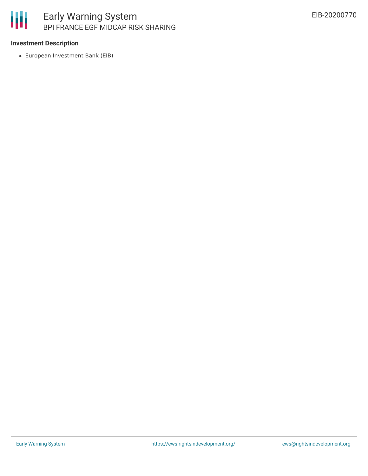# 朋 Early Warning System BPI FRANCE EGF MIDCAP RISK SHARING

### **Investment Description**

European Investment Bank (EIB)